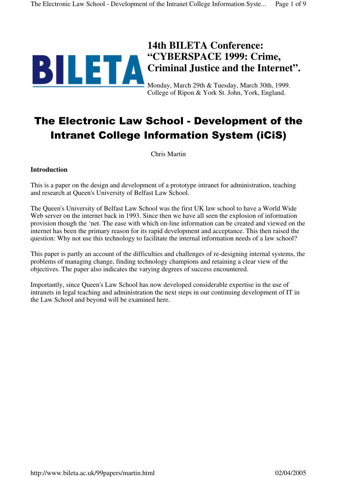

# **14th BILETA Conference: "CYBERSPACE 1999: Crime, Criminal Justice and the Internet".**

Monday, March 29th & Tuesday, March 30th, 1999. College of Ripon & York St. John, York, England.

# The Electronic Law School - Development of the Intranet College Information System (iCiS)

Chris Martin

### **Introduction**

This is a paper on the design and development of a prototype intranet for administration, teaching and research at Queen's University of Belfast Law School.

The Queen's University of Belfast Law School was the first UK law school to have a World Wide Web server on the internet back in 1993. Since then we have all seen the explosion of information provision though the 'net. The ease with which on-line information can be created and viewed on the internet has been the primary reason for its rapid development and acceptance. This then raised the question: Why not use this technology to facilitate the internal information needs of a law school?

This paper is partly an account of the difficulties and challenges of re-designing internal systems, the problems of managing change, finding technology champions and retaining a clear view of the objectives. The paper also indicates the varying degrees of success encountered.

Importantly, since Queen's Law School has now developed considerable expertise in the use of intranets in legal teaching and administration the next steps in our continuing development of IT in the Law School and beyond will be examined here.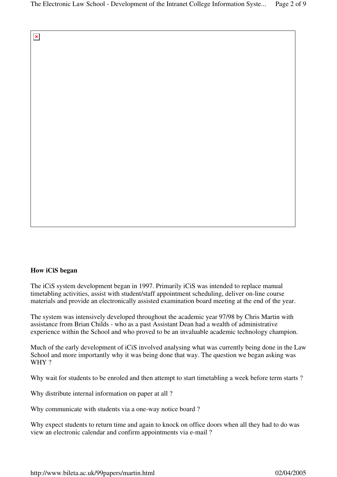$\pmb{\times}$ 

# **How iCiS began**

The iCiS system development began in 1997. Primarily iCiS was intended to replace manual timetabling activities, assist with student/staff appointment scheduling, deliver on-line course materials and provide an electronically assisted examination board meeting at the end of the year.

The system was intensively developed throughout the academic year 97/98 by Chris Martin with assistance from Brian Childs - who as a past Assistant Dean had a wealth of administrative experience within the School and who proved to be an invaluable academic technology champion.

Much of the early development of iCiS involved analysing what was currently being done in the Law School and more importantly why it was being done that way. The question we began asking was WHY?

Why wait for students to be enroled and then attempt to start timetabling a week before term starts ?

Why distribute internal information on paper at all ?

Why communicate with students via a one-way notice board ?

Why expect students to return time and again to knock on office doors when all they had to do was view an electronic calendar and confirm appointments via e-mail ?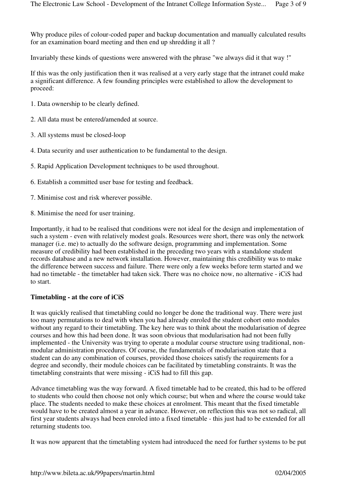Why produce piles of colour-coded paper and backup documentation and manually calculated results for an examination board meeting and then end up shredding it all ?

Invariably these kinds of questions were answered with the phrase "we always did it that way !"

If this was the only justification then it was realised at a very early stage that the intranet could make a significant difference. A few founding principles were established to allow the development to proceed:

- 1. Data ownership to be clearly defined.
- 2. All data must be entered/amended at source.
- 3. All systems must be closed-loop
- 4. Data security and user authentication to be fundamental to the design.
- 5. Rapid Application Development techniques to be used throughout.
- 6. Establish a committed user base for testing and feedback.
- 7. Minimise cost and risk wherever possible.
- 8. Minimise the need for user training.

Importantly, it had to be realised that conditions were not ideal for the design and implementation of such a system - even with relatively modest goals. Resources were short, there was only the network manager (i.e. me) to actually do the software design, programming and implementation. Some measure of credibility had been established in the preceding two years with a standalone student records database and a new network installation. However, maintaining this credibility was to make the difference between success and failure. There were only a few weeks before term started and we had no timetable - the timetabler had taken sick. There was no choice now, no alternative - iCiS had to start.

#### **Timetabling - at the core of iCiS**

It was quickly realised that timetabling could no longer be done the traditional way. There were just too many permutations to deal with when you had already enroled the student cohort onto modules without any regard to their timetabling. The key here was to think about the modularisation of degree courses and how this had been done. It was soon obvious that modularisation had not been fully implemented - the University was trying to operate a modular course structure using traditional, nonmodular administration procedures. Of course, the fundamentals of modularisation state that a student can do any combination of courses, provided those choices satisfy the requirements for a degree and secondly, their module choices can be facilitated by timetabling constraints. It was the timetabling constraints that were missing - iCiS had to fill this gap.

Advance timetabling was the way forward. A fixed timetable had to be created, this had to be offered to students who could then choose not only which course; but when and where the course would take place. The students needed to make these choices at enrolment. This meant that the fixed timetable would have to be created almost a year in advance. However, on reflection this was not so radical, all first year students always had been enroled into a fixed timetable - this just had to be extended for all returning students too.

It was now apparent that the timetabling system had introduced the need for further systems to be put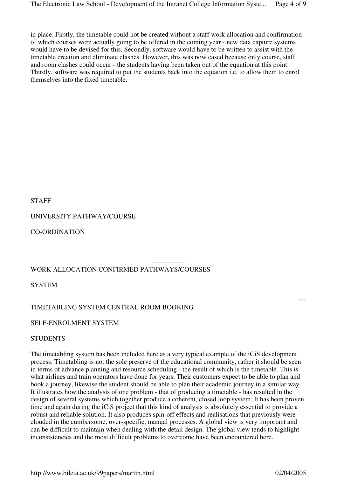in place. Firstly, the timetable could not be created without a staff work allocation and confirmation of which courses were actually going to be offered in the coming year - new data capture systems would have to be devised for this. Secondly, software would have to be written to assist with the timetable creation and eliminate clashes. However, this was now eased because only course, staff and room clashes could occur - the students having been taken out of the equation at this point. Thirdly, software was required to put the students back into the equation i.e. to allow them to enrol themselves into the fixed timetable.

STAFF

# UNIVERSITY PATHWAY/COURSE

CO-ORDINATION

# WORK ALLOCATION CONFIRMED PATHWAYS/COURSES

**SYSTEM** 

# TIMETABLING SYSTEM CENTRAL ROOM BOOKING

SELF-ENROLMENT SYSTEM

# **STUDENTS**

The timetabling system has been included here as a very typical example of the iCiS development process. Timetabling is not the sole preserve of the educational community, rather it should be seen in terms of advance planning and resource scheduling - the result of which is the timetable. This is what airlines and train operators have done for years. Their customers expect to be able to plan and book a journey, likewise the student should be able to plan their academic journey in a similar way. It illustrates how the analysis of one problem - that of producing a timetable - has resulted in the design of several systems which together produce a coherent, closed loop system. It has been proven time and again during the iCiS project that this kind of analysis is absolutely essential to provide a robust and reliable solution. It also produces spin-off effects and realisations that previously were clouded in the cumbersome, over-specific, manual processes. A global view is very important and can be difficult to maintain when dealing with the detail design. The global view tends to highlight inconsistencies and the most difficult problems to overcome have been encountered here.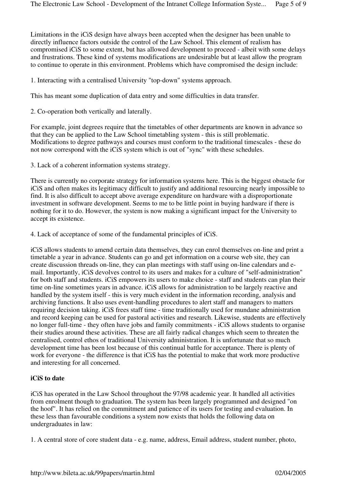Limitations in the iCiS design have always been accepted when the designer has been unable to directly influence factors outside the control of the Law School. This element of realism has compromised iCiS to some extent, but has allowed development to proceed - albeit with some delays and frustrations. These kind of systems modifications are undesirable but at least allow the program to continue to operate in this environment. Problems which have compromised the design include:

1. Interacting with a centralised University "top-down" systems approach.

This has meant some duplication of data entry and some difficulties in data transfer.

2. Co-operation both vertically and laterally.

For example, joint degrees require that the timetables of other departments are known in advance so that they can be applied to the Law School timetabling system - this is still problematic. Modifications to degree pathways and courses must conform to the traditional timescales - these do not now correspond with the iCiS system which is out of "sync" with these schedules.

3. Lack of a coherent information systems strategy.

There is currently no corporate strategy for information systems here. This is the biggest obstacle for iCiS and often makes its legitimacy difficult to justify and additional resourcing nearly impossible to find. It is also difficult to accept above average expenditure on hardware with a disproportionate investment in software development. Seems to me to be little point in buying hardware if there is nothing for it to do. However, the system is now making a significant impact for the University to accept its existence.

4. Lack of acceptance of some of the fundamental principles of iCiS.

iCiS allows students to amend certain data themselves, they can enrol themselves on-line and print a timetable a year in advance. Students can go and get information on a course web site, they can create discussion threads on-line, they can plan meetings with staff using on-line calendars and email. Importantly, iCiS devolves control to its users and makes for a culture of "self-administration" for both staff and students. iCiS empowers its users to make choice - staff and students can plan their time on-line sometimes years in advance. iCiS allows for administration to be largely reactive and handled by the system itself - this is very much evident in the information recording, analysis and archiving functions. It also uses event-handling procedures to alert staff and managers to matters requiring decision taking. iCiS frees staff time - time traditionally used for mundane administration and record keeping can be used for pastoral activities and research. Likewise, students are effectively no longer full-time - they often have jobs and family commitments - iCiS allows students to organise their studies around these activities. These are all fairly radical changes which seem to threaten the centralised, control ethos of traditional University administration. It is unfortunate that so much development time has been lost because of this continual battle for acceptance. There is plenty of work for everyone - the difference is that iCiS has the potential to make that work more productive and interesting for all concerned.

# **iCiS to date**

iCiS has operated in the Law School throughout the 97/98 academic year. It handled all activities from enrolment though to graduation. The system has been largely programmed and designed "on the hoof". It has relied on the commitment and patience of its users for testing and evaluation. In these less than favourable conditions a system now exists that holds the following data on undergraduates in law:

1. A central store of core student data - e.g. name, address, Email address, student number, photo,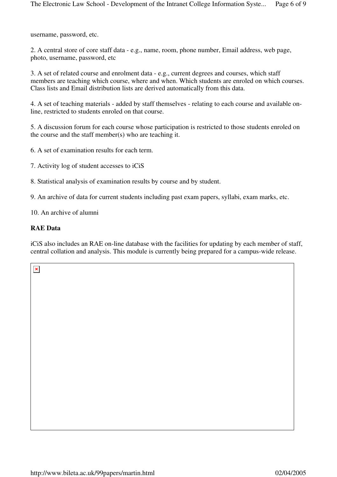username, password, etc.

2. A central store of core staff data - e.g., name, room, phone number, Email address, web page, photo, username, password, etc

3. A set of related course and enrolment data - e.g., current degrees and courses, which staff members are teaching which course, where and when. Which students are enroled on which courses. Class lists and Email distribution lists are derived automatically from this data.

4. A set of teaching materials - added by staff themselves - relating to each course and available online, restricted to students enroled on that course.

5. A discussion forum for each course whose participation is restricted to those students enroled on the course and the staff member(s) who are teaching it.

6. A set of examination results for each term.

7. Activity log of student accesses to iCiS

8. Statistical analysis of examination results by course and by student.

9. An archive of data for current students including past exam papers, syllabi, exam marks, etc.

10. An archive of alumni

#### **RAE Data**

iCiS also includes an RAE on-line database with the facilities for updating by each member of staff, central collation and analysis. This module is currently being prepared for a campus-wide release.

 $\pmb{\times}$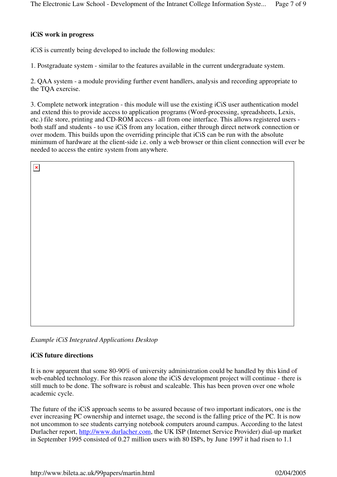#### **iCiS work in progress**

iCiS is currently being developed to include the following modules:

1. Postgraduate system - similar to the features available in the current undergraduate system.

2. QAA system - a module providing further event handlers, analysis and recording appropriate to the TQA exercise.

3. Complete network integration - this module will use the existing iCiS user authentication model and extend this to provide access to application programs (Word-processing, spreadsheets, Lexis, etc.) file store, printing and CD-ROM access - all from one interface. This allows registered users both staff and students - to use iCiS from any location, either through direct network connection or over modem. This builds upon the overriding principle that iCiS can be run with the absolute minimum of hardware at the client-side i.e. only a web browser or thin client connection will ever be needed to access the entire system from anywhere.

| $\pmb{\times}$ |  |
|----------------|--|
|                |  |
|                |  |
|                |  |
|                |  |
|                |  |
|                |  |
|                |  |
|                |  |
|                |  |
|                |  |
|                |  |

*Example iCiS Integrated Applications Desktop*

# **iCiS future directions**

It is now apparent that some 80-90% of university administration could be handled by this kind of web-enabled technology. For this reason alone the iCiS development project will continue - there is still much to be done. The software is robust and scaleable. This has been proven over one whole academic cycle.

The future of the iCiS approach seems to be assured because of two important indicators, one is the ever increasing PC ownership and internet usage, the second is the falling price of the PC. It is now not uncommon to see students carrying notebook computers around campus. According to the latest Durlacher report, http://www.durlacher.com, the UK ISP (Internet Service Provider) dial-up market in September 1995 consisted of 0.27 million users with 80 ISPs, by June 1997 it had risen to 1.1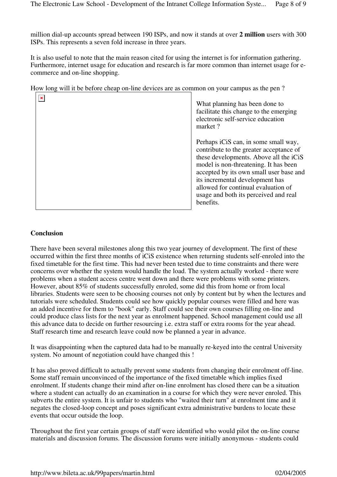million dial-up accounts spread between 190 ISPs, and now it stands at over **2 million** users with 300 ISPs. This represents a seven fold increase in three years.

It is also useful to note that the main reason cited for using the internet is for information gathering. Furthermore, internet usage for education and research is far more common than internet usage for ecommerce and on-line shopping.

How long will it be before cheap on-line devices are as common on your campus as the pen ?

| × | What planning has been done to<br>facilitate this change to the emerging<br>electronic self-service education<br>market?                                                                                                                                                                                                                      |
|---|-----------------------------------------------------------------------------------------------------------------------------------------------------------------------------------------------------------------------------------------------------------------------------------------------------------------------------------------------|
|   | Perhaps iCiS can, in some small way,<br>contribute to the greater acceptance of<br>these developments. Above all the iCiS<br>model is non-threatening. It has been<br>accepted by its own small user base and<br>its incremental development has<br>allowed for continual evaluation of<br>usage and both its perceived and real<br>benefits. |

# **Conclusion**

There have been several milestones along this two year journey of development. The first of these occurred within the first three months of iCiS existence when returning students self-enroled into the fixed timetable for the first time. This had never been tested due to time constraints and there were concerns over whether the system would handle the load. The system actually worked - there were problems when a student access centre went down and there were problems with some printers. However, about 85% of students successfully enroled, some did this from home or from local libraries. Students were seen to be choosing courses not only by content but by when the lectures and tutorials were scheduled. Students could see how quickly popular courses were filled and here was an added incentive for them to "book" early. Staff could see their own courses filling on-line and could produce class lists for the next year as enrolment happened. School management could use all this advance data to decide on further resourcing i.e. extra staff or extra rooms for the year ahead. Staff research time and research leave could now be planned a year in advance.

It was disappointing when the captured data had to be manually re-keyed into the central University system. No amount of negotiation could have changed this !

It has also proved difficult to actually prevent some students from changing their enrolment off-line. Some staff remain unconvinced of the importance of the fixed timetable which implies fixed enrolment. If students change their mind after on-line enrolment has closed there can be a situation where a student can actually do an examination in a course for which they were never enroled. This subverts the entire system. It is unfair to students who "waited their turn" at enrolment time and it negates the closed-loop concept and poses significant extra administrative burdens to locate these events that occur outside the loop.

Throughout the first year certain groups of staff were identified who would pilot the on-line course materials and discussion forums. The discussion forums were initially anonymous - students could